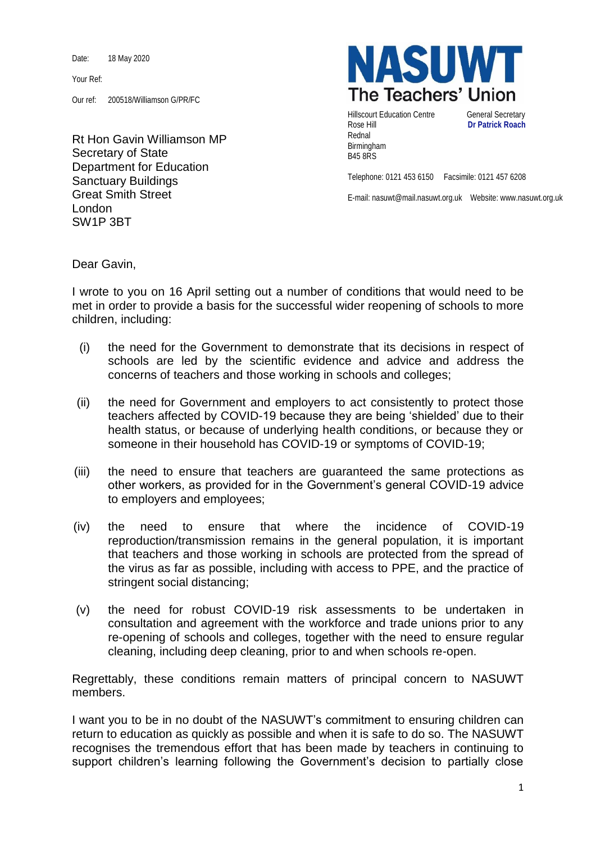Date: 18 May 2020

Your Ref:

Our ref: 200518/Williamson G/PR/FC

Rt Hon Gavin Williamson MP Secretary of State Department for Education Sanctuary Buildings Great Smith Street London SW1P 3BT



Hillscourt Education Centre **General Secretary** Rose Hill **Dr Patrick Roach** Rednal Birmingham B45 8RS

Telephone: 0121 453 6150 Facsimile: 0121 457 6208

E-mail: nasuwt@mail.nasuwt.org.uk Website: www.nasuwt.org.uk

Dear Gavin,

I wrote to you on 16 April setting out a number of conditions that would need to be met in order to provide a basis for the successful wider reopening of schools to more children, including:

- (i) the need for the Government to demonstrate that its decisions in respect of schools are led by the scientific evidence and advice and address the concerns of teachers and those working in schools and colleges;
- (ii) the need for Government and employers to act consistently to protect those teachers affected by COVID-19 because they are being 'shielded' due to their health status, or because of underlying health conditions, or because they or someone in their household has COVID-19 or symptoms of COVID-19;
- (iii) the need to ensure that teachers are guaranteed the same protections as other workers, as provided for in the Government's general COVID-19 advice to employers and employees;
- (iv) the need to ensure that where the incidence of COVID-19 reproduction/transmission remains in the general population, it is important that teachers and those working in schools are protected from the spread of the virus as far as possible, including with access to PPE, and the practice of stringent social distancing;
- (v) the need for robust COVID-19 risk assessments to be undertaken in consultation and agreement with the workforce and trade unions prior to any re-opening of schools and colleges, together with the need to ensure regular cleaning, including deep cleaning, prior to and when schools re-open.

Regrettably, these conditions remain matters of principal concern to NASUWT members.

I want you to be in no doubt of the NASUWT's commitment to ensuring children can return to education as quickly as possible and when it is safe to do so. The NASUWT recognises the tremendous effort that has been made by teachers in continuing to support children's learning following the Government's decision to partially close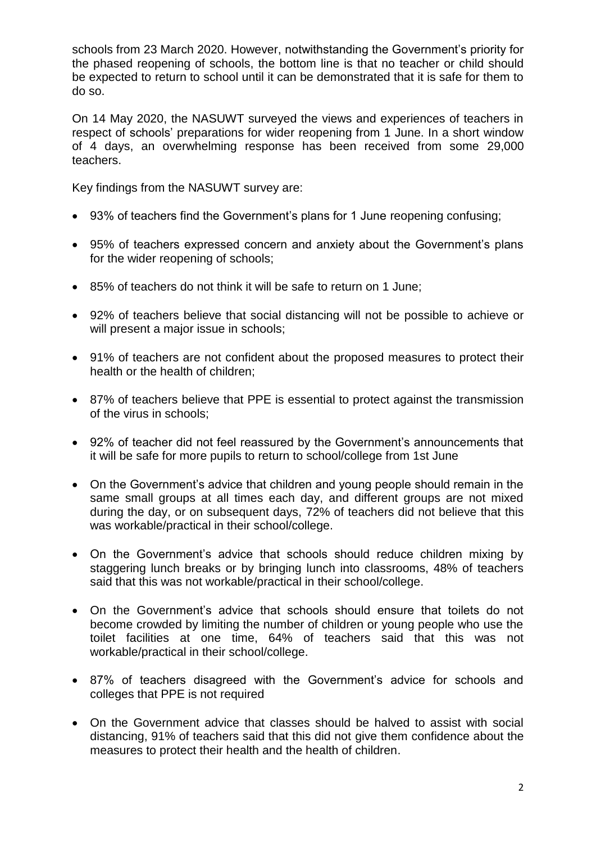schools from 23 March 2020. However, notwithstanding the Government's priority for the phased reopening of schools, the bottom line is that no teacher or child should be expected to return to school until it can be demonstrated that it is safe for them to do so.

On 14 May 2020, the NASUWT surveyed the views and experiences of teachers in respect of schools' preparations for wider reopening from 1 June. In a short window of 4 days, an overwhelming response has been received from some 29,000 teachers.

Key findings from the NASUWT survey are:

- 93% of teachers find the Government's plans for 1 June reopening confusing;
- 95% of teachers expressed concern and anxiety about the Government's plans for the wider reopening of schools;
- 85% of teachers do not think it will be safe to return on 1 June;
- 92% of teachers believe that social distancing will not be possible to achieve or will present a major issue in schools;
- 91% of teachers are not confident about the proposed measures to protect their health or the health of children;
- 87% of teachers believe that PPE is essential to protect against the transmission of the virus in schools;
- 92% of teacher did not feel reassured by the Government's announcements that it will be safe for more pupils to return to school/college from 1st June
- On the Government's advice that children and young people should remain in the same small groups at all times each day, and different groups are not mixed during the day, or on subsequent days, 72% of teachers did not believe that this was workable/practical in their school/college.
- On the Government's advice that schools should reduce children mixing by staggering lunch breaks or by bringing lunch into classrooms, 48% of teachers said that this was not workable/practical in their school/college.
- On the Government's advice that schools should ensure that toilets do not become crowded by limiting the number of children or young people who use the toilet facilities at one time, 64% of teachers said that this was not workable/practical in their school/college.
- 87% of teachers disagreed with the Government's advice for schools and colleges that PPE is not required
- On the Government advice that classes should be halved to assist with social distancing, 91% of teachers said that this did not give them confidence about the measures to protect their health and the health of children.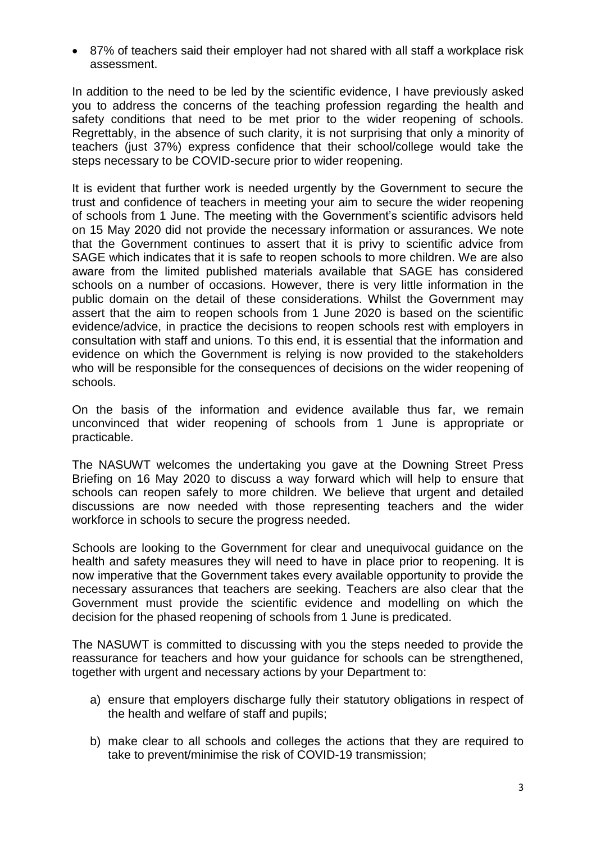87% of teachers said their employer had not shared with all staff a workplace risk assessment.

In addition to the need to be led by the scientific evidence, I have previously asked you to address the concerns of the teaching profession regarding the health and safety conditions that need to be met prior to the wider reopening of schools. Regrettably, in the absence of such clarity, it is not surprising that only a minority of teachers (just 37%) express confidence that their school/college would take the steps necessary to be COVID-secure prior to wider reopening.

It is evident that further work is needed urgently by the Government to secure the trust and confidence of teachers in meeting your aim to secure the wider reopening of schools from 1 June. The meeting with the Government's scientific advisors held on 15 May 2020 did not provide the necessary information or assurances. We note that the Government continues to assert that it is privy to scientific advice from SAGE which indicates that it is safe to reopen schools to more children. We are also aware from the limited published materials available that SAGE has considered schools on a number of occasions. However, there is very little information in the public domain on the detail of these considerations. Whilst the Government may assert that the aim to reopen schools from 1 June 2020 is based on the scientific evidence/advice, in practice the decisions to reopen schools rest with employers in consultation with staff and unions. To this end, it is essential that the information and evidence on which the Government is relying is now provided to the stakeholders who will be responsible for the consequences of decisions on the wider reopening of schools.

On the basis of the information and evidence available thus far, we remain unconvinced that wider reopening of schools from 1 June is appropriate or practicable.

The NASUWT welcomes the undertaking you gave at the Downing Street Press Briefing on 16 May 2020 to discuss a way forward which will help to ensure that schools can reopen safely to more children. We believe that urgent and detailed discussions are now needed with those representing teachers and the wider workforce in schools to secure the progress needed.

Schools are looking to the Government for clear and unequivocal guidance on the health and safety measures they will need to have in place prior to reopening. It is now imperative that the Government takes every available opportunity to provide the necessary assurances that teachers are seeking. Teachers are also clear that the Government must provide the scientific evidence and modelling on which the decision for the phased reopening of schools from 1 June is predicated.

The NASUWT is committed to discussing with you the steps needed to provide the reassurance for teachers and how your guidance for schools can be strengthened, together with urgent and necessary actions by your Department to:

- a) ensure that employers discharge fully their statutory obligations in respect of the health and welfare of staff and pupils;
- b) make clear to all schools and colleges the actions that they are required to take to prevent/minimise the risk of COVID-19 transmission;